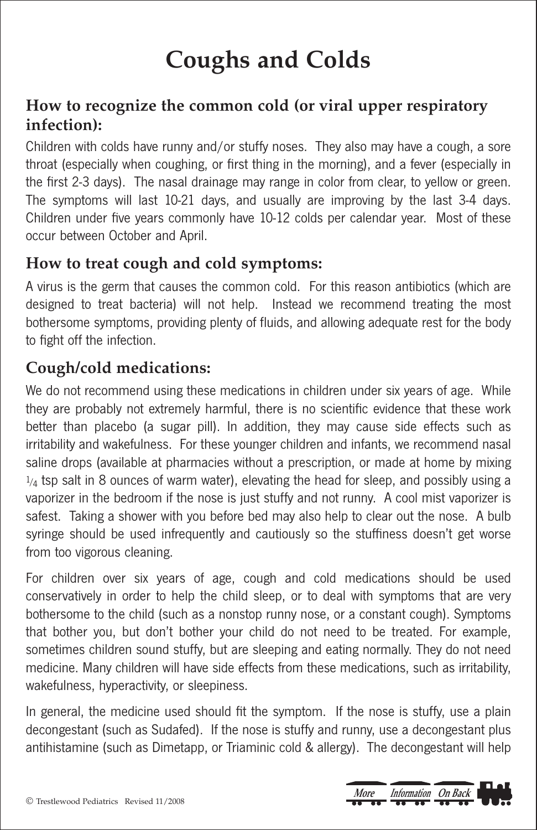# **Coughs and Colds**

#### **How to recognize the common cold (or viral upper respiratory infection):**

Children with colds have runny and/or stuffy noses. They also may have a cough, a sore throat (especially when coughing, or first thing in the morning), and a fever (especially in the first 2-3 days). The nasal drainage may range in color from clear, to yellow or green. The symptoms will last 10-21 days, and usually are improving by the last 3-4 days. Children under five years commonly have 10-12 colds per calendar year. Most of these occur between October and April.

#### **How to treat cough and cold symptoms:**

A virus is the germ that causes the common cold. For this reason antibiotics (which are designed to treat bacteria) will not help. Instead we recommend treating the most bothersome symptoms, providing plenty of fluids, and allowing adequate rest for the body to fight off the infection.

### **Cough/cold medications:**

We do not recommend using these medications in children under six years of age. While they are probably not extremely harmful, there is no scientific evidence that these work better than placebo (a sugar pill). In addition, they may cause side effects such as irritability and wakefulness. For these younger children and infants, we recommend nasal saline drops (available at pharmacies without a prescription, or made at home by mixing  $1/4$  tsp salt in 8 ounces of warm water), elevating the head for sleep, and possibly using a vaporizer in the bedroom if the nose is just stuffy and not runny. A cool mist vaporizer is safest. Taking a shower with you before bed may also help to clear out the nose. A bulb syringe should be used infrequently and cautiously so the stuffiness doesn't get worse from too vigorous cleaning.

For children over six years of age, cough and cold medications should be used conservatively in order to help the child sleep, or to deal with symptoms that are very bothersome to the child (such as a nonstop runny nose, or a constant cough). Symptoms that bother you, but don't bother your child do not need to be treated. For example, sometimes children sound stuffy, but are sleeping and eating normally. They do not need medicine. Many children will have side effects from these medications, such as irritability, wakefulness, hyperactivity, or sleepiness.

In general, the medicine used should fit the symptom. If the nose is stuffy, use a plain decongestant (such as Sudafed). If the nose is stuffy and runny, use a decongestant plus antihistamine (such as Dimetapp, or Triaminic cold & allergy). The decongestant will help